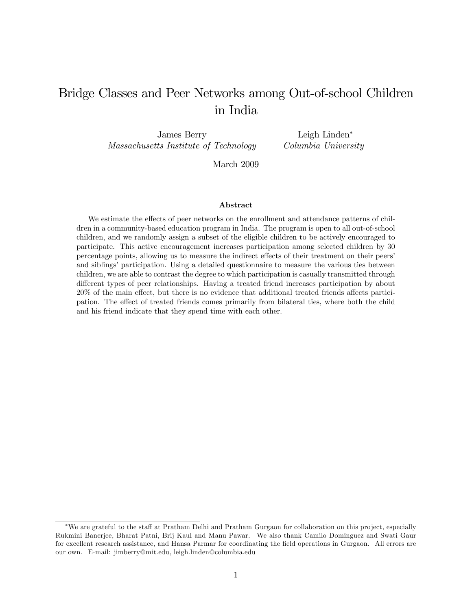# Bridge Classes and Peer Networks among Out-of-school Children in India

James Berry Massachusetts Institute of Technology

Leigh Linden Columbia University

March 2009

#### Abstract

We estimate the effects of peer networks on the enrollment and attendance patterns of children in a community-based education program in India. The program is open to all out-of-school children, and we randomly assign a subset of the eligible children to be actively encouraged to participate. This active encouragement increases participation among selected children by 30 percentage points, allowing us to measure the indirect effects of their treatment on their peers' and siblings' participation. Using a detailed questionnaire to measure the various ties between children, we are able to contrast the degree to which participation is casually transmitted through different types of peer relationships. Having a treated friend increases participation by about  $20\%$  of the main effect, but there is no evidence that additional treated friends affects participation. The effect of treated friends comes primarily from bilateral ties, where both the child and his friend indicate that they spend time with each other.

We are grateful to the staff at Pratham Delhi and Pratham Gurgaon for collaboration on this project, especially Rukmini Banerjee, Bharat Patni, Brij Kaul and Manu Pawar. We also thank Camilo Dominguez and Swati Gaur for excellent research assistance, and Hansa Parmar for coordinating the field operations in Gurgaon. All errors are our own. E-mail: jimberry@mit.edu, leigh.linden@columbia.edu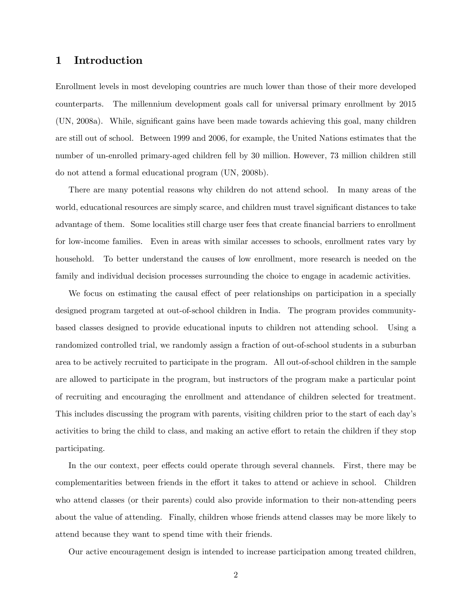# 1 Introduction

Enrollment levels in most developing countries are much lower than those of their more developed counterparts. The millennium development goals call for universal primary enrollment by 2015 (UN, 2008a). While, significant gains have been made towards achieving this goal, many children are still out of school. Between 1999 and 2006, for example, the United Nations estimates that the number of un-enrolled primary-aged children fell by 30 million. However, 73 million children still do not attend a formal educational program (UN, 2008b).

There are many potential reasons why children do not attend school. In many areas of the world, educational resources are simply scarce, and children must travel significant distances to take advantage of them. Some localities still charge user fees that create financial barriers to enrollment for low-income families. Even in areas with similar accesses to schools, enrollment rates vary by household. To better understand the causes of low enrollment, more research is needed on the family and individual decision processes surrounding the choice to engage in academic activities.

We focus on estimating the causal effect of peer relationships on participation in a specially designed program targeted at out-of-school children in India. The program provides communitybased classes designed to provide educational inputs to children not attending school. Using a randomized controlled trial, we randomly assign a fraction of out-of-school students in a suburban area to be actively recruited to participate in the program. All out-of-school children in the sample are allowed to participate in the program, but instructors of the program make a particular point of recruiting and encouraging the enrollment and attendance of children selected for treatment. This includes discussing the program with parents, visiting children prior to the start of each dayís activities to bring the child to class, and making an active effort to retain the children if they stop participating.

In the our context, peer effects could operate through several channels. First, there may be complementarities between friends in the effort it takes to attend or achieve in school. Children who attend classes (or their parents) could also provide information to their non-attending peers about the value of attending. Finally, children whose friends attend classes may be more likely to attend because they want to spend time with their friends.

Our active encouragement design is intended to increase participation among treated children,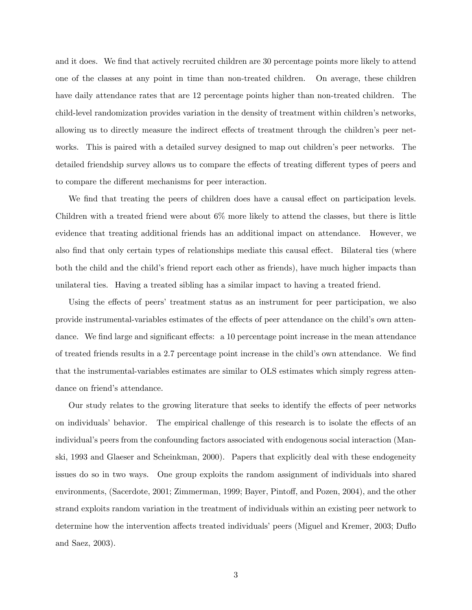and it does. We find that actively recruited children are 30 percentage points more likely to attend one of the classes at any point in time than non-treated children. On average, these children have daily attendance rates that are 12 percentage points higher than non-treated children. The child-level randomization provides variation in the density of treatment within children's networks, allowing us to directly measure the indirect effects of treatment through the children's peer networks. This is paired with a detailed survey designed to map out children's peer networks. The detailed friendship survey allows us to compare the effects of treating different types of peers and to compare the different mechanisms for peer interaction.

We find that treating the peers of children does have a causal effect on participation levels. Children with a treated friend were about 6% more likely to attend the classes, but there is little evidence that treating additional friends has an additional impact on attendance. However, we also find that only certain types of relationships mediate this causal effect. Bilateral ties (where both the child and the child's friend report each other as friends), have much higher impacts than unilateral ties. Having a treated sibling has a similar impact to having a treated friend.

Using the effects of peers' treatment status as an instrument for peer participation, we also provide instrumental-variables estimates of the effects of peer attendance on the child's own attendance. We find large and significant effects: a  $10$  percentage point increase in the mean attendance of treated friends results in a 2.7 percentage point increase in the child's own attendance. We find that the instrumental-variables estimates are similar to OLS estimates which simply regress attendance on friend's attendance.

Our study relates to the growing literature that seeks to identify the effects of peer networks on individuals' behavior. The empirical challenge of this research is to isolate the effects of an individual's peers from the confounding factors associated with endogenous social interaction (Manski, 1993 and Glaeser and Scheinkman, 2000). Papers that explicitly deal with these endogeneity issues do so in two ways. One group exploits the random assignment of individuals into shared environments, (Sacerdote, 2001; Zimmerman, 1999; Bayer, Pintoff, and Pozen, 2004), and the other strand exploits random variation in the treatment of individuals within an existing peer network to determine how the intervention affects treated individuals' peers (Miguel and Kremer, 2003; Duflo and Saez, 2003).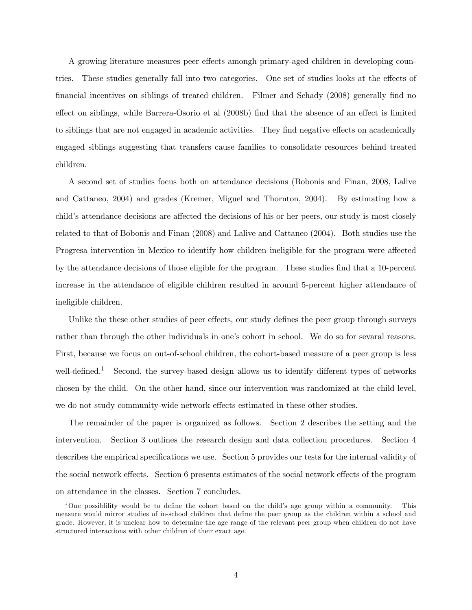A growing literature measures peer effects amongh primary-aged children in developing countries. These studies generally fall into two categories. One set of studies looks at the effects of Önancial incentives on siblings of treated children. Filmer and Schady (2008) generally Önd no effect on siblings, while Barrera-Osorio et al (2008b) find that the absence of an effect is limited to siblings that are not engaged in academic activities. They find negative effects on academically engaged siblings suggesting that transfers cause families to consolidate resources behind treated children.

A second set of studies focus both on attendance decisions (Bobonis and Finan, 2008, Lalive and Cattaneo, 2004) and grades (Kremer, Miguel and Thornton, 2004). By estimating how a child's attendance decisions are affected the decisions of his or her peers, our study is most closely related to that of Bobonis and Finan (2008) and Lalive and Cattaneo (2004). Both studies use the Progresa intervention in Mexico to identify how children ineligible for the program were affected by the attendance decisions of those eligible for the program. These studies find that a 10-percent increase in the attendance of eligible children resulted in around 5-percent higher attendance of ineligible children.

Unlike the these other studies of peer effects, our study defines the peer group through surveys rather than through the other individuals in one's cohort in school. We do so for sevaral reasons. First, because we focus on out-of-school children, the cohort-based measure of a peer group is less well-defined.<sup>1</sup> Second, the survey-based design allows us to identify different types of networks chosen by the child. On the other hand, since our intervention was randomized at the child level, we do not study community-wide network effects estimated in these other studies.

The remainder of the paper is organized as follows. Section 2 describes the setting and the intervention. Section 3 outlines the research design and data collection procedures. Section 4 describes the empirical specifications we use. Section 5 provides our tests for the internal validity of the social network effects. Section 6 presents estimates of the social network effects of the program on attendance in the classes. Section 7 concludes.

<sup>&</sup>lt;sup>1</sup>One possibility would be to define the cohort based on the child's age group within a community. This measure would mirror studies of in-school children that define the peer group as the children within a school and grade. However, it is unclear how to determine the age range of the relevant peer group when children do not have structured interactions with other children of their exact age.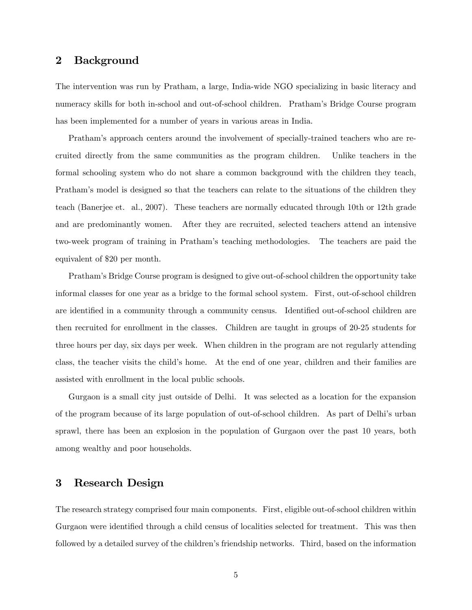# 2 Background

The intervention was run by Pratham, a large, India-wide NGO specializing in basic literacy and numeracy skills for both in-school and out-of-school children. Pratham's Bridge Course program has been implemented for a number of years in various areas in India.

Prathamís approach centers around the involvement of specially-trained teachers who are recruited directly from the same communities as the program children. Unlike teachers in the formal schooling system who do not share a common background with the children they teach, Pratham's model is designed so that the teachers can relate to the situations of the children they teach (Banerjee et. al., 2007). These teachers are normally educated through 10th or 12th grade and are predominantly women. After they are recruited, selected teachers attend an intensive two-week program of training in Prathamís teaching methodologies. The teachers are paid the equivalent of \$20 per month.

Prathamís Bridge Course program is designed to give out-of-school children the opportunity take informal classes for one year as a bridge to the formal school system. First, out-of-school children are identified in a community through a community census. Identified out-of-school children are then recruited for enrollment in the classes. Children are taught in groups of 20-25 students for three hours per day, six days per week. When children in the program are not regularly attending class, the teacher visits the child's home. At the end of one year, children and their families are assisted with enrollment in the local public schools.

Gurgaon is a small city just outside of Delhi. It was selected as a location for the expansion of the program because of its large population of out-of-school children. As part of Delhi's urban sprawl, there has been an explosion in the population of Gurgaon over the past 10 years, both among wealthy and poor households.

# 3 Research Design

The research strategy comprised four main components. First, eligible out-of-school children within Gurgaon were identified through a child census of localities selected for treatment. This was then followed by a detailed survey of the children's friendship networks. Third, based on the information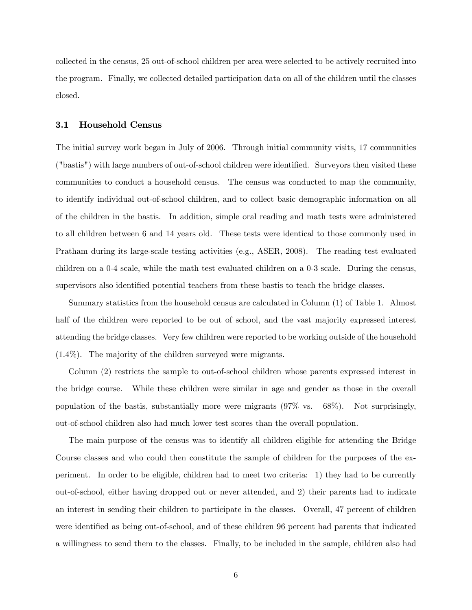collected in the census, 25 out-of-school children per area were selected to be actively recruited into the program. Finally, we collected detailed participation data on all of the children until the classes closed.

## 3.1 Household Census

The initial survey work began in July of 2006. Through initial community visits, 17 communities ("bastis") with large numbers of out-of-school children were identified. Surveyors then visited these communities to conduct a household census. The census was conducted to map the community, to identify individual out-of-school children, and to collect basic demographic information on all of the children in the bastis. In addition, simple oral reading and math tests were administered to all children between 6 and 14 years old. These tests were identical to those commonly used in Pratham during its large-scale testing activities (e.g., ASER, 2008). The reading test evaluated children on a 0-4 scale, while the math test evaluated children on a 0-3 scale. During the census, supervisors also identified potential teachers from these bastis to teach the bridge classes.

Summary statistics from the household census are calculated in Column (1) of Table 1. Almost half of the children were reported to be out of school, and the vast majority expressed interest attending the bridge classes. Very few children were reported to be working outside of the household (1.4%). The majority of the children surveyed were migrants.

Column (2) restricts the sample to out-of-school children whose parents expressed interest in the bridge course. While these children were similar in age and gender as those in the overall population of the bastis, substantially more were migrants (97% vs. 68%). Not surprisingly, out-of-school children also had much lower test scores than the overall population.

The main purpose of the census was to identify all children eligible for attending the Bridge Course classes and who could then constitute the sample of children for the purposes of the experiment. In order to be eligible, children had to meet two criteria: 1) they had to be currently out-of-school, either having dropped out or never attended, and 2) their parents had to indicate an interest in sending their children to participate in the classes. Overall, 47 percent of children were identified as being out-of-school, and of these children 96 percent had parents that indicated a willingness to send them to the classes. Finally, to be included in the sample, children also had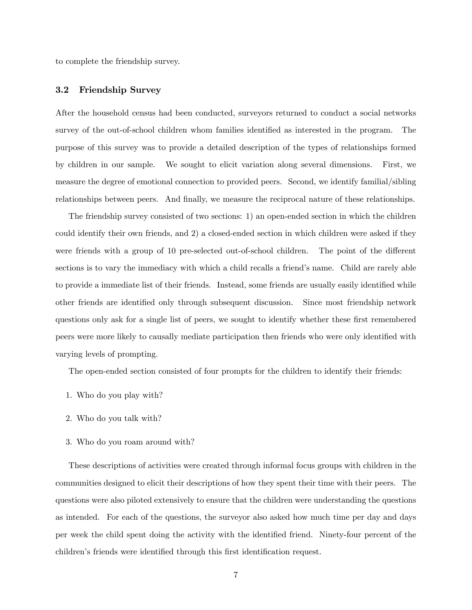to complete the friendship survey.

## 3.2 Friendship Survey

After the household census had been conducted, surveyors returned to conduct a social networks survey of the out-of-school children whom families identified as interested in the program. The purpose of this survey was to provide a detailed description of the types of relationships formed by children in our sample. We sought to elicit variation along several dimensions. First, we measure the degree of emotional connection to provided peers. Second, we identify familial/sibling relationships between peers. And finally, we measure the reciprocal nature of these relationships.

The friendship survey consisted of two sections: 1) an open-ended section in which the children could identify their own friends, and 2) a closed-ended section in which children were asked if they were friends with a group of 10 pre-selected out-of-school children. The point of the different sections is to vary the immediacy with which a child recalls a friend's name. Child are rarely able to provide a immediate list of their friends. Instead, some friends are usually easily identified while other friends are identified only through subsequent discussion. Since most friendship network questions only ask for a single list of peers, we sought to identify whether these first remembered peers were more likely to causally mediate participation then friends who were only identified with varying levels of prompting.

The open-ended section consisted of four prompts for the children to identify their friends:

- 1. Who do you play with?
- 2. Who do you talk with?
- 3. Who do you roam around with?

These descriptions of activities were created through informal focus groups with children in the communities designed to elicit their descriptions of how they spent their time with their peers. The questions were also piloted extensively to ensure that the children were understanding the questions as intended. For each of the questions, the surveyor also asked how much time per day and days per week the child spent doing the activity with the identified friend. Ninety-four percent of the children's friends were identified through this first identification request.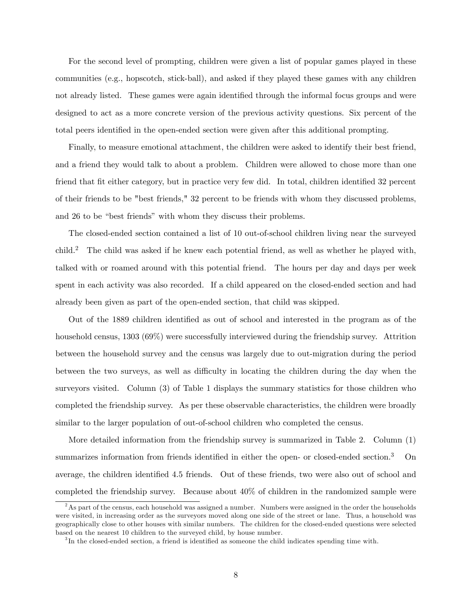For the second level of prompting, children were given a list of popular games played in these communities (e.g., hopscotch, stick-ball), and asked if they played these games with any children not already listed. These games were again identified through the informal focus groups and were designed to act as a more concrete version of the previous activity questions. Six percent of the total peers identified in the open-ended section were given after this additional prompting.

Finally, to measure emotional attachment, the children were asked to identify their best friend, and a friend they would talk to about a problem. Children were allowed to chose more than one friend that fit either category, but in practice very few did. In total, children identified 32 percent of their friends to be "best friends," 32 percent to be friends with whom they discussed problems, and 26 to be "best friends" with whom they discuss their problems.

The closed-ended section contained a list of 10 out-of-school children living near the surveyed child.<sup>2</sup> The child was asked if he knew each potential friend, as well as whether he played with, talked with or roamed around with this potential friend. The hours per day and days per week spent in each activity was also recorded. If a child appeared on the closed-ended section and had already been given as part of the open-ended section, that child was skipped.

Out of the 1889 children identified as out of school and interested in the program as of the household census, 1303 (69%) were successfully interviewed during the friendship survey. Attrition between the household survey and the census was largely due to out-migration during the period between the two surveys, as well as difficulty in locating the children during the day when the surveyors visited. Column (3) of Table 1 displays the summary statistics for those children who completed the friendship survey. As per these observable characteristics, the children were broadly similar to the larger population of out-of-school children who completed the census.

More detailed information from the friendship survey is summarized in Table 2. Column (1) summarizes information from friends identified in either the open- or closed-ended section.<sup>3</sup> On average, the children identified 4.5 friends. Out of these friends, two were also out of school and completed the friendship survey. Because about 40% of children in the randomized sample were

<sup>&</sup>lt;sup>2</sup>As part of the census, each household was assigned a number. Numbers were assigned in the order the households were visited, in increasing order as the surveyors moved along one side of the street or lane. Thus, a household was geographically close to other houses with similar numbers. The children for the closed-ended questions were selected based on the nearest 10 children to the surveyed child, by house number.

<sup>&</sup>lt;sup>3</sup>In the closed-ended section, a friend is identified as someone the child indicates spending time with.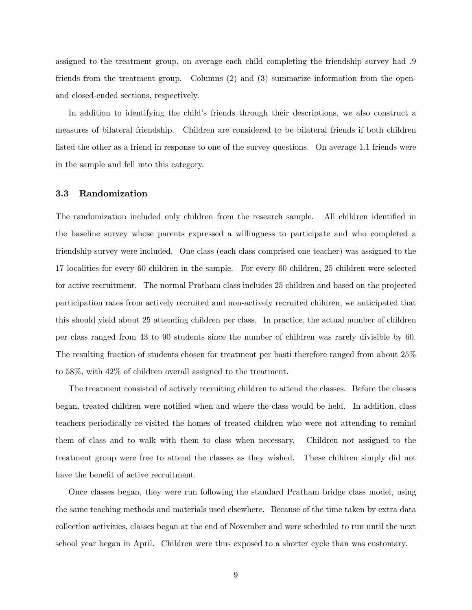assigned to the treatment group, on average each child completing the friendship survey had .9 friends from the treatment group. Columns (2) and (3) summarize information from the openand closed-ended sections, respectively.

In addition to identifying the child's friends through their descriptions, we also construct a measures of bilateral friendship. Children are considered to be bilateral friends if both children listed the other as a friend in response to one of the survey questions. On average 1.1 friends were in the sample and fell into this category.

#### 3.3 Randomization

The randomization included only children from the research sample. All children identified in the baseline survey whose parents expressed a willingness to participate and who completed a friendship survey were included. One class (each class comprised one teacher) was assigned to the 17 localities for every 60 children in the sample. For every 60 children, 25 children were selected for active recruitment. The normal Pratham class includes 25 children and based on the projected participation rates from actively recruited and non-actively recruited children, we anticipated that this should yield about 25 attending children per class. In practice, the actual number of children per class ranged from 43 to 90 students since the number of children was rarely divisible by 60. The resulting fraction of students chosen for treatment per basti therefore ranged from about 25% to 58%, with 42% of children overall assigned to the treatment.

The treatment consisted of actively recruiting children to attend the classes. Before the classes began, treated children were notified when and where the class would be held. In addition, class teachers periodically re-visited the homes of treated children who were not attending to remind them of class and to walk with them to class when necessary. Children not assigned to the treatment group were free to attend the classes as they wished. These children simply did not have the benefit of active recruitment.

Once classes began, they were run following the standard Pratham bridge class model, using the same teaching methods and materials used elsewhere. Because of the time taken by extra data collection activities, classes began at the end of November and were scheduled to run until the next school year began in April. Children were thus exposed to a shorter cycle than was customary.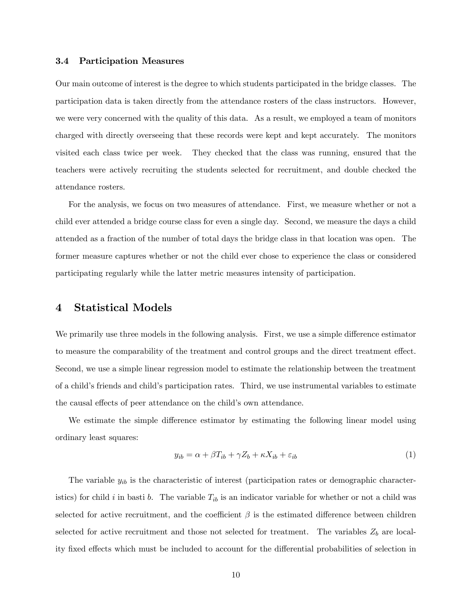#### 3.4 Participation Measures

Our main outcome of interest is the degree to which students participated in the bridge classes. The participation data is taken directly from the attendance rosters of the class instructors. However, we were very concerned with the quality of this data. As a result, we employed a team of monitors charged with directly overseeing that these records were kept and kept accurately. The monitors visited each class twice per week. They checked that the class was running, ensured that the teachers were actively recruiting the students selected for recruitment, and double checked the attendance rosters.

For the analysis, we focus on two measures of attendance. First, we measure whether or not a child ever attended a bridge course class for even a single day. Second, we measure the days a child attended as a fraction of the number of total days the bridge class in that location was open. The former measure captures whether or not the child ever chose to experience the class or considered participating regularly while the latter metric measures intensity of participation.

## 4 Statistical Models

We primarily use three models in the following analysis. First, we use a simple difference estimator to measure the comparability of the treatment and control groups and the direct treatment effect. Second, we use a simple linear regression model to estimate the relationship between the treatment of a childís friends and childís participation rates. Third, we use instrumental variables to estimate the causal effects of peer attendance on the child's own attendance.

We estimate the simple difference estimator by estimating the following linear model using ordinary least squares:

$$
y_{ib} = \alpha + \beta T_{ib} + \gamma Z_b + \kappa X_{ib} + \varepsilon_{ib} \tag{1}
$$

The variable  $y_{ib}$  is the characteristic of interest (participation rates or demographic characteristics) for child i in basti b. The variable  $T_{ib}$  is an indicator variable for whether or not a child was selected for active recruitment, and the coefficient  $\beta$  is the estimated difference between children selected for active recruitment and those not selected for treatment. The variables  $Z_b$  are locality fixed effects which must be included to account for the differential probabilities of selection in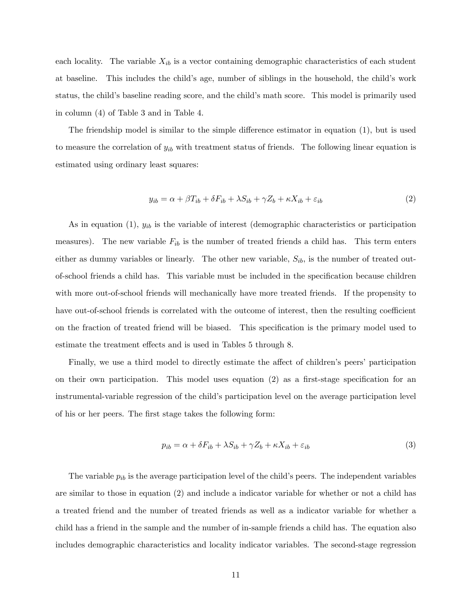each locality. The variable  $X_{ib}$  is a vector containing demographic characteristics of each student at baseline. This includes the child's age, number of siblings in the household, the child's work status, the child's baseline reading score, and the child's math score. This model is primarily used in column (4) of Table 3 and in Table 4.

The friendship model is similar to the simple difference estimator in equation  $(1)$ , but is used to measure the correlation of  $y_{ib}$  with treatment status of friends. The following linear equation is estimated using ordinary least squares:

$$
y_{ib} = \alpha + \beta T_{ib} + \delta F_{ib} + \lambda S_{ib} + \gamma Z_b + \kappa X_{ib} + \varepsilon_{ib}
$$
\n<sup>(2)</sup>

As in equation (1),  $y_{ib}$  is the variable of interest (demographic characteristics or participation measures). The new variable  $F_{ib}$  is the number of treated friends a child has. This term enters either as dummy variables or linearly. The other new variable,  $S_{ib}$ , is the number of treated outof-school friends a child has. This variable must be included in the speciÖcation because children with more out-of-school friends will mechanically have more treated friends. If the propensity to have out-of-school friends is correlated with the outcome of interest, then the resulting coefficient on the fraction of treated friend will be biased. This specification is the primary model used to estimate the treatment effects and is used in Tables 5 through 8.

Finally, we use a third model to directly estimate the affect of children's peers' participation on their own participation. This model uses equation  $(2)$  as a first-stage specification for an instrumental-variable regression of the child's participation level on the average participation level of his or her peers. The first stage takes the following form:

$$
p_{ib} = \alpha + \delta F_{ib} + \lambda S_{ib} + \gamma Z_b + \kappa X_{ib} + \varepsilon_{ib}
$$
\n<sup>(3)</sup>

The variable  $p_{ib}$  is the average participation level of the child's peers. The independent variables are similar to those in equation (2) and include a indicator variable for whether or not a child has a treated friend and the number of treated friends as well as a indicator variable for whether a child has a friend in the sample and the number of in-sample friends a child has. The equation also includes demographic characteristics and locality indicator variables. The second-stage regression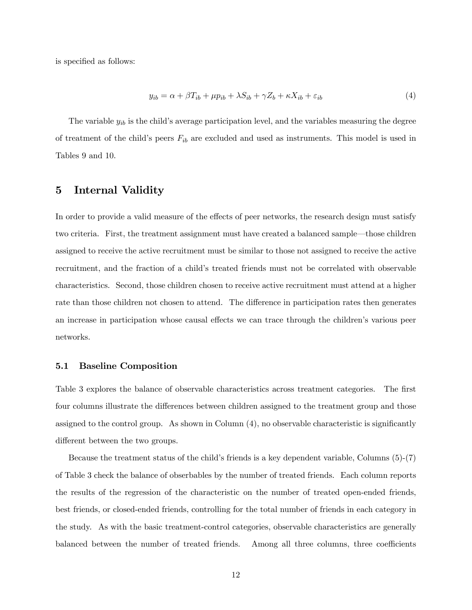is specified as follows:

$$
y_{ib} = \alpha + \beta T_{ib} + \mu p_{ib} + \lambda S_{ib} + \gamma Z_b + \kappa X_{ib} + \varepsilon_{ib}
$$
\n<sup>(4)</sup>

The variable  $y_{ib}$  is the child's average participation level, and the variables measuring the degree of treatment of the child's peers  $F_{ib}$  are excluded and used as instruments. This model is used in Tables 9 and 10.

## 5 Internal Validity

In order to provide a valid measure of the effects of peer networks, the research design must satisfy two criteria. First, the treatment assignment must have created a balanced sample—those children assigned to receive the active recruitment must be similar to those not assigned to receive the active recruitment, and the fraction of a child's treated friends must not be correlated with observable characteristics. Second, those children chosen to receive active recruitment must attend at a higher rate than those children not chosen to attend. The difference in participation rates then generates an increase in participation whose causal effects we can trace through the children's various peer networks.

## 5.1 Baseline Composition

Table 3 explores the balance of observable characteristics across treatment categories. The first four columns illustrate the differences between children assigned to the treatment group and those assigned to the control group. As shown in Column  $(4)$ , no observable characteristic is significantly different between the two groups.

Because the treatment status of the child's friends is a key dependent variable, Columns  $(5)-(7)$ of Table 3 check the balance of obserbables by the number of treated friends. Each column reports the results of the regression of the characteristic on the number of treated open-ended friends, best friends, or closed-ended friends, controlling for the total number of friends in each category in the study. As with the basic treatment-control categories, observable characteristics are generally balanced between the number of treated friends. Among all three columns, three coefficients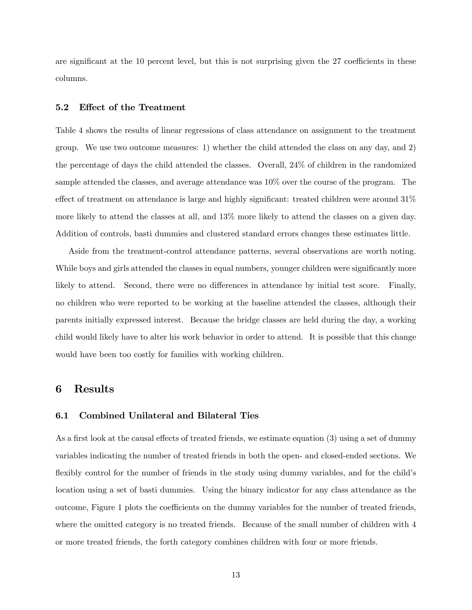are significant at the 10 percent level, but this is not surprising given the 27 coefficients in these columns.

### 5.2 Effect of the Treatment

Table 4 shows the results of linear regressions of class attendance on assignment to the treatment group. We use two outcome measures: 1) whether the child attended the class on any day, and 2) the percentage of days the child attended the classes. Overall, 24% of children in the randomized sample attended the classes, and average attendance was 10% over the course of the program. The effect of treatment on attendance is large and highly significant: treated children were around  $31\%$ more likely to attend the classes at all, and 13% more likely to attend the classes on a given day. Addition of controls, basti dummies and clustered standard errors changes these estimates little.

Aside from the treatment-control attendance patterns, several observations are worth noting. While boys and girls attended the classes in equal numbers, younger children were significantly more likely to attend. Second, there were no differences in attendance by initial test score. Finally, no children who were reported to be working at the baseline attended the classes, although their parents initially expressed interest. Because the bridge classes are held during the day, a working child would likely have to alter his work behavior in order to attend. It is possible that this change would have been too costly for families with working children.

## 6 Results

### 6.1 Combined Unilateral and Bilateral Ties

As a first look at the causal effects of treated friends, we estimate equation  $(3)$  using a set of dummy variables indicating the number of treated friends in both the open- and closed-ended sections. We flexibly control for the number of friends in the study using dummy variables, and for the child's location using a set of basti dummies. Using the binary indicator for any class attendance as the outcome, Figure 1 plots the coefficients on the dummy variables for the number of treated friends, where the omitted category is no treated friends. Because of the small number of children with 4 or more treated friends, the forth category combines children with four or more friends.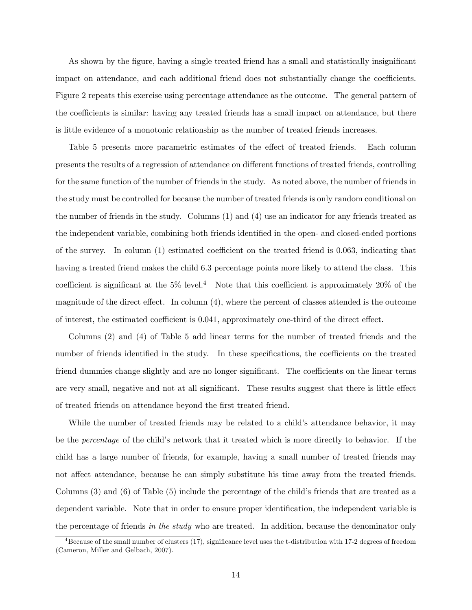As shown by the figure, having a single treated friend has a small and statistically insignificant impact on attendance, and each additional friend does not substantially change the coefficients. Figure 2 repeats this exercise using percentage attendance as the outcome. The general pattern of the coefficients is similar: having any treated friends has a small impact on attendance, but there is little evidence of a monotonic relationship as the number of treated friends increases.

Table 5 presents more parametric estimates of the effect of treated friends. Each column presents the results of a regression of attendance on different functions of treated friends, controlling for the same function of the number of friends in the study. As noted above, the number of friends in the study must be controlled for because the number of treated friends is only random conditional on the number of friends in the study. Columns (1) and (4) use an indicator for any friends treated as the independent variable, combining both friends identified in the open- and closed-ended portions of the survey. In column  $(1)$  estimated coefficient on the treated friend is 0.063, indicating that having a treated friend makes the child 6.3 percentage points more likely to attend the class. This coefficient is significant at the  $5\%$  level.<sup>4</sup> Note that this coefficient is approximately  $20\%$  of the magnitude of the direct effect. In column  $(4)$ , where the percent of classes attended is the outcome of interest, the estimated coefficient is 0.041, approximately one-third of the direct effect.

Columns (2) and (4) of Table 5 add linear terms for the number of treated friends and the number of friends identified in the study. In these specifications, the coefficients on the treated friend dummies change slightly and are no longer significant. The coefficients on the linear terms are very small, negative and not at all significant. These results suggest that there is little effect of treated friends on attendance beyond the Örst treated friend.

While the number of treated friends may be related to a child's attendance behavior, it may be the *percentage* of the child's network that it treated which is more directly to behavior. If the child has a large number of friends, for example, having a small number of treated friends may not affect attendance, because he can simply substitute his time away from the treated friends. Columns  $(3)$  and  $(6)$  of Table  $(5)$  include the percentage of the child's friends that are treated as a dependent variable. Note that in order to ensure proper identification, the independent variable is the percentage of friends in the study who are treated. In addition, because the denominator only

 $^{4}$ Because of the small number of clusters (17), significance level uses the t-distribution with 17-2 degrees of freedom (Cameron, Miller and Gelbach, 2007).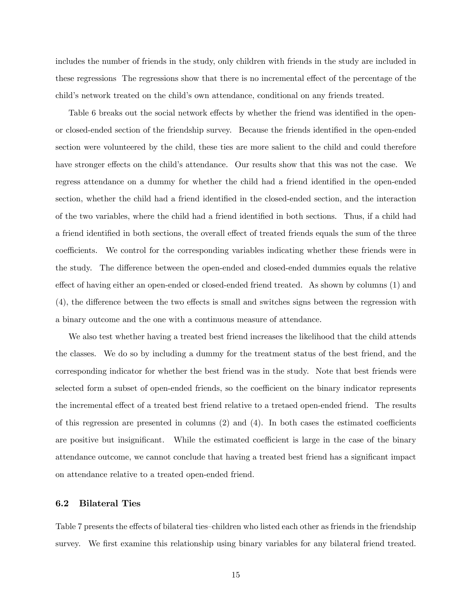includes the number of friends in the study, only children with friends in the study are included in these regressions The regressions show that there is no incremental effect of the percentage of the child's network treated on the child's own attendance, conditional on any friends treated.

Table 6 breaks out the social network effects by whether the friend was identified in the openor closed-ended section of the friendship survey. Because the friends identified in the open-ended section were volunteered by the child, these ties are more salient to the child and could therefore have stronger effects on the child's attendance. Our results show that this was not the case. We regress attendance on a dummy for whether the child had a friend identified in the open-ended section, whether the child had a friend identified in the closed-ended section, and the interaction of the two variables, where the child had a friend identified in both sections. Thus, if a child had a friend identified in both sections, the overall effect of treated friends equals the sum of the three coefficients. We control for the corresponding variables indicating whether these friends were in the study. The difference between the open-ended and closed-ended dummies equals the relative effect of having either an open-ended or closed-ended friend treated. As shown by columns (1) and  $(4)$ , the difference between the two effects is small and switches signs between the regression with a binary outcome and the one with a continuous measure of attendance.

We also test whether having a treated best friend increases the likelihood that the child attends the classes. We do so by including a dummy for the treatment status of the best friend, and the corresponding indicator for whether the best friend was in the study. Note that best friends were selected form a subset of open-ended friends, so the coefficient on the binary indicator represents the incremental effect of a treated best friend relative to a tretaed open-ended friend. The results of this regression are presented in columns  $(2)$  and  $(4)$ . In both cases the estimated coefficients are positive but insignificant. While the estimated coefficient is large in the case of the binary attendance outcome, we cannot conclude that having a treated best friend has a significant impact on attendance relative to a treated open-ended friend.

### 6.2 Bilateral Ties

Table 7 presents the effects of bilateral ties-children who listed each other as friends in the friendship survey. We first examine this relationship using binary variables for any bilateral friend treated.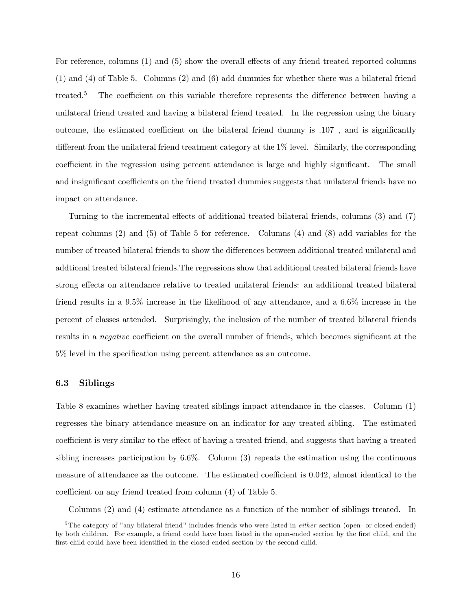For reference, columns  $(1)$  and  $(5)$  show the overall effects of any friend treated reported columns (1) and (4) of Table 5. Columns (2) and (6) add dummies for whether there was a bilateral friend treated.<sup>5</sup> The coefficient on this variable therefore represents the difference between having a unilateral friend treated and having a bilateral friend treated. In the regression using the binary outcome, the estimated coefficient on the bilateral friend dummy is  $.107$ , and is significantly different from the unilateral friend treatment category at the  $1\%$  level. Similarly, the corresponding coefficient in the regression using percent attendance is large and highly significant. The small and insignificant coefficients on the friend treated dummies suggests that unilateral friends have no impact on attendance.

Turning to the incremental effects of additional treated bilateral friends, columns  $(3)$  and  $(7)$ repeat columns (2) and (5) of Table 5 for reference. Columns (4) and (8) add variables for the number of treated bilateral friends to show the differences between additional treated unilateral and addtional treated bilateral friends.The regressions show that additional treated bilateral friends have strong effects on attendance relative to treated unilateral friends: an additional treated bilateral friend results in a 9.5% increase in the likelihood of any attendance, and a 6.6% increase in the percent of classes attended. Surprisingly, the inclusion of the number of treated bilateral friends results in a *negative* coefficient on the overall number of friends, which becomes significant at the 5% level in the specification using percent attendance as an outcome.

## 6.3 Siblings

Table 8 examines whether having treated siblings impact attendance in the classes. Column (1) regresses the binary attendance measure on an indicator for any treated sibling. The estimated coefficient is very similar to the effect of having a treated friend, and suggests that having a treated sibling increases participation by  $6.6\%$ . Column (3) repeats the estimation using the continuous measure of attendance as the outcome. The estimated coefficient is 0.042, almost identical to the coefficient on any friend treated from column  $(4)$  of Table 5.

Columns (2) and (4) estimate attendance as a function of the number of siblings treated. In

 $5$ The category of "any bilateral friend" includes friends who were listed in *either* section (open- or closed-ended) by both children. For example, a friend could have been listed in the open-ended section by the first child, and the first child could have been identified in the closed-ended section by the second child.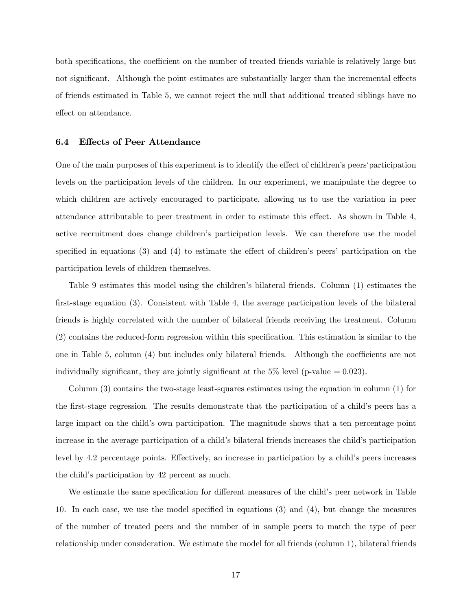both specifications, the coefficient on the number of treated friends variable is relatively large but not significant. Although the point estimates are substantially larger than the incremental effects of friends estimated in Table 5, we cannot reject the null that additional treated siblings have no effect on attendance.

## 6.4 Effects of Peer Attendance

One of the main purposes of this experiment is to identify the effect of children's peers' participation levels on the participation levels of the children. In our experiment, we manipulate the degree to which children are actively encouraged to participate, allowing us to use the variation in peer attendance attributable to peer treatment in order to estimate this effect. As shown in Table  $4$ , active recruitment does change children's participation levels. We can therefore use the model specified in equations  $(3)$  and  $(4)$  to estimate the effect of children's peers' participation on the participation levels of children themselves.

Table 9 estimates this model using the children's bilateral friends. Column (1) estimates the first-stage equation (3). Consistent with Table 4, the average participation levels of the bilateral friends is highly correlated with the number of bilateral friends receiving the treatment. Column  $(2)$  contains the reduced-form regression within this specification. This estimation is similar to the one in Table 5, column  $(4)$  but includes only bilateral friends. Although the coefficients are not individually significant, they are jointly significant at the  $5\%$  level (p-value = 0.023).

Column (3) contains the two-stage least-squares estimates using the equation in column (1) for the first-stage regression. The results demonstrate that the participation of a child's peers has a large impact on the child's own participation. The magnitude shows that a ten percentage point increase in the average participation of a child's bilateral friends increases the child's participation level by 4.2 percentage points. Effectively, an increase in participation by a child's peers increases the child's participation by 42 percent as much.

We estimate the same specification for different measures of the child's peer network in Table 10. In each case, we use the model specified in equations  $(3)$  and  $(4)$ , but change the measures of the number of treated peers and the number of in sample peers to match the type of peer relationship under consideration. We estimate the model for all friends (column 1), bilateral friends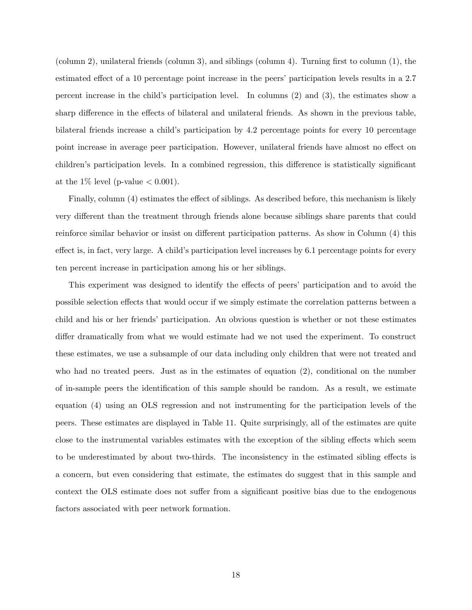(column 2), unilateral friends (column 3), and siblings (column 4). Turning first to column  $(1)$ , the estimated effect of a 10 percentage point increase in the peers' participation levels results in a 2.7 percent increase in the child's participation level. In columns  $(2)$  and  $(3)$ , the estimates show a sharp difference in the effects of bilateral and unilateral friends. As shown in the previous table, bilateral friends increase a child's participation by 4.2 percentage points for every 10 percentage point increase in average peer participation. However, unilateral friends have almost no effect on children's participation levels. In a combined regression, this difference is statistically significant at the 1% level (p-value  $< 0.001$ ).

Finally, column (4) estimates the effect of siblings. As described before, this mechanism is likely very different than the treatment through friends alone because siblings share parents that could reinforce similar behavior or insist on different participation patterns. As show in Column (4) this effect is, in fact, very large. A child's participation level increases by  $6.1$  percentage points for every ten percent increase in participation among his or her siblings.

This experiment was designed to identify the effects of peers' participation and to avoid the possible selection effects that would occur if we simply estimate the correlation patterns between a child and his or her friends' participation. An obvious question is whether or not these estimates differ dramatically from what we would estimate had we not used the experiment. To construct these estimates, we use a subsample of our data including only children that were not treated and who had no treated peers. Just as in the estimates of equation (2), conditional on the number of in-sample peers the identification of this sample should be random. As a result, we estimate equation (4) using an OLS regression and not instrumenting for the participation levels of the peers. These estimates are displayed in Table 11. Quite surprisingly, all of the estimates are quite close to the instrumental variables estimates with the exception of the sibling effects which seem to be underestimated by about two-thirds. The inconsistency in the estimated sibling effects is a concern, but even considering that estimate, the estimates do suggest that in this sample and context the OLS estimate does not suffer from a significant positive bias due to the endogenous factors associated with peer network formation.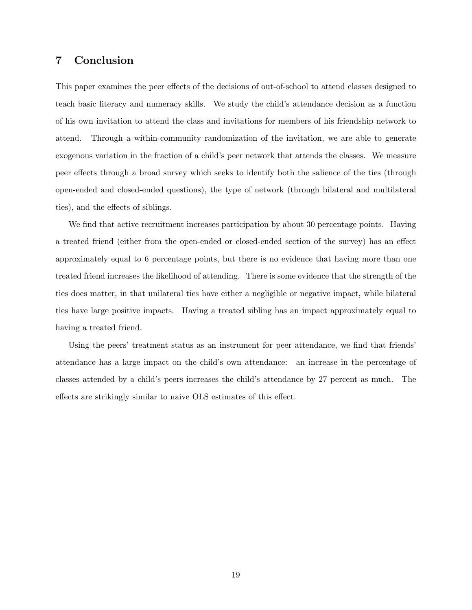# 7 Conclusion

This paper examines the peer effects of the decisions of out-of-school to attend classes designed to teach basic literacy and numeracy skills. We study the child's attendance decision as a function of his own invitation to attend the class and invitations for members of his friendship network to attend. Through a within-community randomization of the invitation, we are able to generate exogenous variation in the fraction of a child's peer network that attends the classes. We measure peer effects through a broad survey which seeks to identify both the salience of the ties (through open-ended and closed-ended questions), the type of network (through bilateral and multilateral ties), and the effects of siblings.

We find that active recruitment increases participation by about 30 percentage points. Having a treated friend (either from the open-ended or closed-ended section of the survey) has an effect approximately equal to 6 percentage points, but there is no evidence that having more than one treated friend increases the likelihood of attending. There is some evidence that the strength of the ties does matter, in that unilateral ties have either a negligible or negative impact, while bilateral ties have large positive impacts. Having a treated sibling has an impact approximately equal to having a treated friend.

Using the peers' treatment status as an instrument for peer attendance, we find that friends attendance has a large impact on the childís own attendance: an increase in the percentage of classes attended by a child's peers increases the child's attendance by 27 percent as much. The effects are strikingly similar to naive OLS estimates of this effect.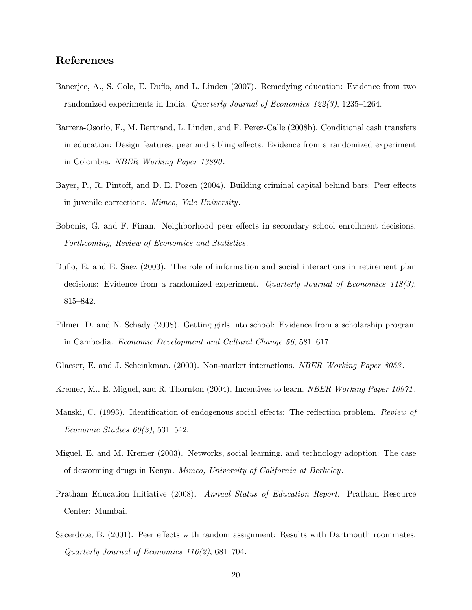# References

- Banerjee, A., S. Cole, E. Duflo, and L. Linden (2007). Remedying education: Evidence from two randomized experiments in India. Quarterly Journal of Economics 122(3), 1235–1264.
- Barrera-Osorio, F., M. Bertrand, L. Linden, and F. Perez-Calle (2008b). Conditional cash transfers in education: Design features, peer and sibling effects: Evidence from a randomized experiment in Colombia. NBER Working Paper 13890 .
- Bayer, P., R. Pintoff, and D. E. Pozen (2004). Building criminal capital behind bars: Peer effects in juvenile corrections. Mimeo, Yale University.
- Bobonis, G. and F. Finan. Neighborhood peer effects in secondary school enrollment decisions. Forthcoming, Review of Economics and Statistics.
- Duflo, E. and E. Saez (2003). The role of information and social interactions in retirement plan decisions: Evidence from a randomized experiment. Quarterly Journal of Economics 118(3), 815–842.
- Filmer, D. and N. Schady (2008). Getting girls into school: Evidence from a scholarship program in Cambodia. Economic Development and Cultural Change 56, 581–617.
- Glaeser, E. and J. Scheinkman. (2000). Non-market interactions. *NBER Working Paper 8053*.
- Kremer, M., E. Miguel, and R. Thornton (2004). Incentives to learn. *NBER Working Paper 10971*.
- Manski, C. (1993). Identification of endogenous social effects: The reflection problem. Review of Economic Studies  $60(3)$ , 531–542.
- Miguel, E. and M. Kremer (2003). Networks, social learning, and technology adoption: The case of deworming drugs in Kenya. Mimeo, University of California at Berkeley.
- Pratham Education Initiative (2008). Annual Status of Education Report. Pratham Resource Center: Mumbai.
- Sacerdote, B. (2001). Peer effects with random assignment: Results with Dartmouth roommates. Quarterly Journal of Economics  $116(2)$ , 681–704.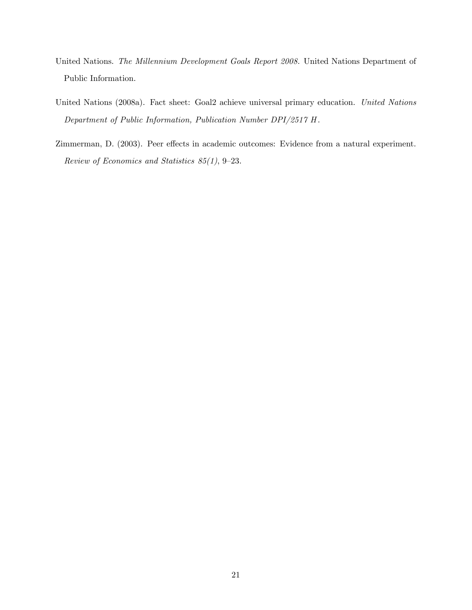- United Nations. The Millennium Development Goals Report 2008. United Nations Department of Public Information.
- United Nations (2008a). Fact sheet: Goal2 achieve universal primary education. United Nations Department of Public Information, Publication Number DPI/2517 H .
- Zimmerman, D. (2003). Peer effects in academic outcomes: Evidence from a natural experiment. Review of Economics and Statistics  $85(1)$ , 9-23.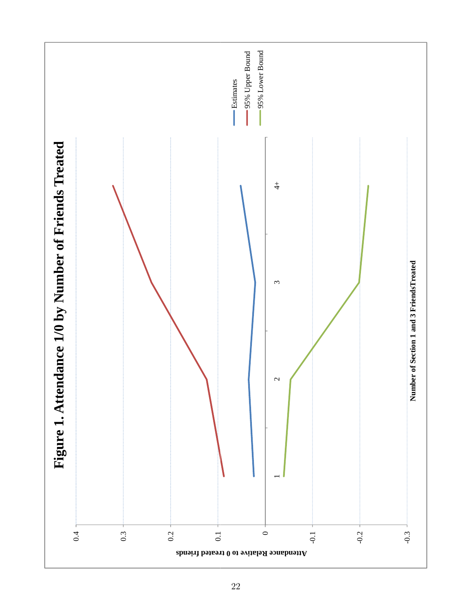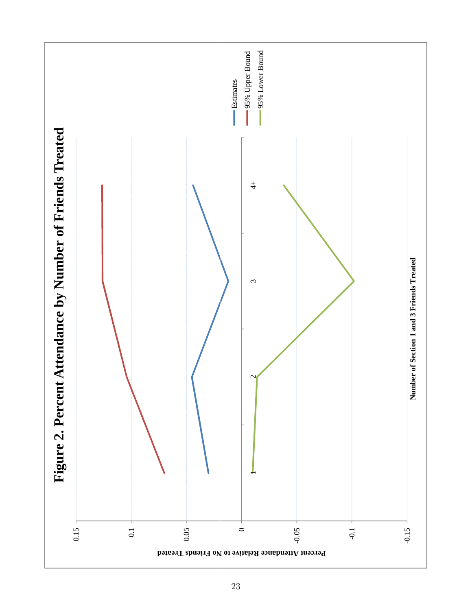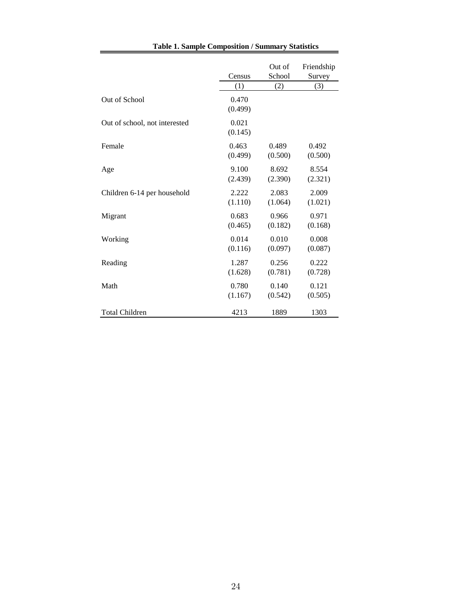|                               |                  | Out of  | Friendship |
|-------------------------------|------------------|---------|------------|
|                               | Census           | School  | Survey     |
|                               | (1)              | (2)     | (3)        |
| Out of School                 | 0.470<br>(0.499) |         |            |
| Out of school, not interested | 0.021<br>(0.145) |         |            |
| Female                        | 0.463            | 0.489   | 0.492      |
|                               | (0.499)          | (0.500) | (0.500)    |
| Age                           | 9.100            | 8.692   | 8.554      |
|                               | (2.439)          | (2.390) | (2.321)    |
| Children 6-14 per household   | 2.222            | 2.083   | 2.009      |
|                               | (1.110)          | (1.064) | (1.021)    |
| Migrant                       | 0.683            | 0.966   | 0.971      |
|                               | (0.465)          | (0.182) | (0.168)    |
| Working                       | 0.014            | 0.010   | 0.008      |
|                               | (0.116)          | (0.097) | (0.087)    |
| Reading                       | 1.287            | 0.256   | 0.222      |
|                               | (1.628)          | (0.781) | (0.728)    |
| Math                          | 0.780            | 0.140   | 0.121      |
|                               | (1.167)          | (0.542) | (0.505)    |
| <b>Total Children</b>         | 4213             | 1889    | 1303       |

## **Table 1. Sample Composition / Summary Statistics**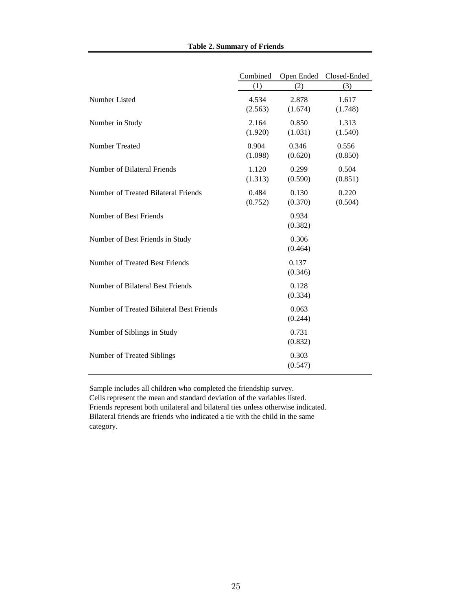|  |  | <b>Table 2. Summary of Friends</b> |  |  |
|--|--|------------------------------------|--|--|
|--|--|------------------------------------|--|--|

|                                          | Combined         | Open Ended       | Closed-Ended     |
|------------------------------------------|------------------|------------------|------------------|
|                                          | (1)              | (2)              | (3)              |
| Number Listed                            | 4.534<br>(2.563) | 2.878<br>(1.674) | 1.617<br>(1.748) |
| Number in Study                          | 2.164<br>(1.920) | 0.850<br>(1.031) | 1.313<br>(1.540) |
| <b>Number Treated</b>                    | 0.904<br>(1.098) | 0.346<br>(0.620) | 0.556<br>(0.850) |
| Number of Bilateral Friends              | 1.120<br>(1.313) | 0.299<br>(0.590) | 0.504<br>(0.851) |
| Number of Treated Bilateral Friends      | 0.484<br>(0.752) | 0.130<br>(0.370) | 0.220<br>(0.504) |
| Number of Best Friends                   |                  | 0.934<br>(0.382) |                  |
| Number of Best Friends in Study          |                  | 0.306<br>(0.464) |                  |
| Number of Treated Best Friends           |                  | 0.137<br>(0.346) |                  |
| Number of Bilateral Best Friends         |                  | 0.128<br>(0.334) |                  |
| Number of Treated Bilateral Best Friends |                  | 0.063<br>(0.244) |                  |
| Number of Siblings in Study              |                  | 0.731<br>(0.832) |                  |
| Number of Treated Siblings               |                  | 0.303<br>(0.547) |                  |
|                                          |                  |                  |                  |

Sample includes all children who completed the friendship survey. Cells represent the mean and standard deviation of the variables listed. Friends represent both unilateral and bilateral ties unless otherwise indicated. Bilateral friends are friends who indicated a tie with the child in the same category.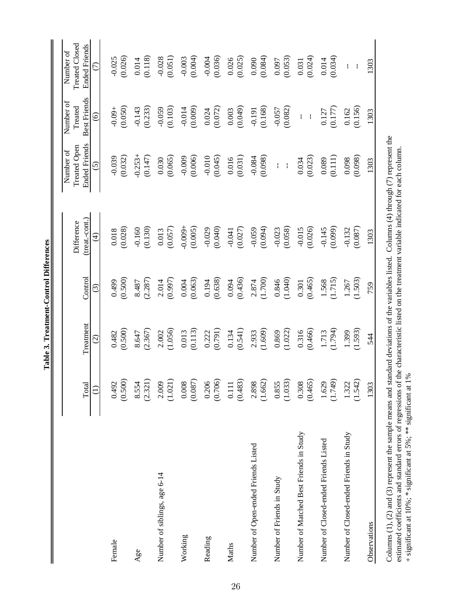|                                         | Total            | Treatment               | Control            | (treat.-cont.)<br>Difference | <b>Ended Friends</b><br>Treated Open<br>Number of | Best Friends<br>Number of<br>Treated | Treated Closed<br><b>Ended Friends</b><br>Number of |
|-----------------------------------------|------------------|-------------------------|--------------------|------------------------------|---------------------------------------------------|--------------------------------------|-----------------------------------------------------|
|                                         | $\widehat{\cup}$ | $\widehat{\circ}$       | ල                  | E)                           | $\odot$                                           | $\odot$                              | $\widehat{\in}$                                     |
| Female                                  | (0.500)<br>0.492 | (0.500)<br>0.482        | (0.500)<br>0.499   | (0.028)<br>0.018             | (0.032)<br>$-0.039$                               | $-0.09 +$<br>(0.050)                 | (0.026)<br>$-0.025$                                 |
| Age                                     | 8.554<br>(2.321) | (2.367)<br>8.647        | $8.487$<br>(2.287) | (0.130)<br>$-0.160$          | $-0.253 +$<br>(0.147)                             | $-0.143$<br>$(0.233)$                | $\frac{0.014}{(0.118)}$                             |
| Number of siblings, age 6-14            | 2.009<br>(1.021) | (1.056)<br>2.002        | (0.997)<br>2.014   | (0.057)<br>0.013             | (0.065)<br>0.030                                  | (0.103)<br>$-0.059$                  | (0.051)<br>$-0.028$                                 |
| Working                                 | 0.008<br>(0.087) | (0.113)<br>0.013        | (0.063)<br>0.004   | $-0.009 +$<br>(0.005)        | (0.006)<br>$-0.009$                               | $-0.014$<br>(0.009)                  | $-0.003$<br>(0.004)                                 |
| Reading                                 | 0.206<br>(0.706) | $\frac{0.222}{(0.791)}$ | (0.638)<br>0.194   | (0.040)<br>$-0.029$          | $-0.010$<br>(0.045)                               | (0.072)<br>0.024                     | (0.036)<br>$-0.004$                                 |
| Maths                                   | 0.111<br>(0.483) | (0.541)<br>0.134        | (0.436)<br>0.094   | (0.027)<br>$-0.041$          | (0.031)<br>0.016                                  | (0.049)<br>0.003                     | (0.025)<br>0.026                                    |
| Number of Open-ended Friends Listed     | 2.898<br>(1.662) | 2.933<br>(1.609)        | $2.874$<br>(1.700) | (0.059)                      | $-0.084$<br>(0.098)                               | $-0.191$<br>$(0.168)$                | (0.084)<br>0.090                                    |
| Number of Friends in Study              | 0.855<br>(1.033) | (1.022)<br>0.869        | (1.040)<br>0.846   | (0.058)<br>$-0.023$          | $\mathbf{1}$<br>$\bar{1}$                         | $-0.057$<br>$(0.082)$                | (0.053)<br>0.097                                    |
| Number of Matched Best Friends in Study | 0.308<br>(0.465) | (0.466)<br>0.316        | (0.465)<br>0.301   | (0.026)<br>$-0.015$          | (0.023)<br>0.034                                  | $\bar{1}=\bar{1}$                    | (0.024)<br>0.031                                    |
| Number of Closed-ended Friends Listed   | 1.629<br>(1.749) | (1.794)<br>1.713        | (1.715)<br>1.568   | (0.099)<br>$-0.145$          | (0.111)<br>0.089                                  | (0.177)<br>0.127                     | (0.034)<br>0.014                                    |
| Number of Closed-ended Friends in Study | 1.322<br>(1.542) | (1.593)<br>1.399        | 1.503)<br>1.267    | $-0.132$<br>(0.087)          | (0.098)<br>0.098                                  | (0.156)<br>0.162                     | $\mathbf{I}$<br>$\frac{1}{2}$                       |
| Observations                            | 1303             | 544                     | 759                | 1303                         | 1303                                              | 1303                                 | 1303                                                |
|                                         |                  |                         |                    |                              |                                                   |                                      |                                                     |

Columns  $(1)$ ,  $(2)$  and  $(3)$  represent the sample means and standard deviations of the variables listed. Columns  $(4)$  through  $(7)$  represent the estimated coefficients and standard errors of regressions of the characteristic listed on the treatment variable indicated for each column.

Columns (1), (2) and (3) represent the sample means and standard deviations of the variables listed. Columns (4) through (7) represent the estimated coefficients and standard errors of regressions of the characteristic listed on the treatment variable indicated for each column.<br>+ significant at 10%; \* significant at 5%; \*\* significant at 1%

+ significant at 10%; \* significant at 5%; \*\* significant at 1%

Table 3. Treatment-Control Differences **Table 3. Treatment-Control Differences**

26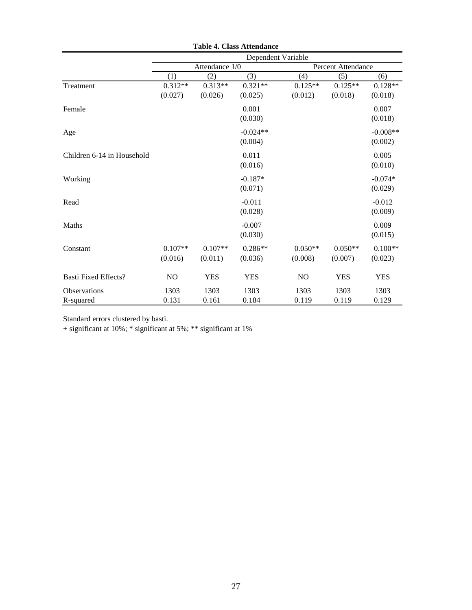|                             |                      |                      | Table 7. Class Attenuance<br>Dependent Variable |                      |                      |                       |
|-----------------------------|----------------------|----------------------|-------------------------------------------------|----------------------|----------------------|-----------------------|
|                             |                      | Attendance 1/0       |                                                 | Percent Attendance   |                      |                       |
|                             | (1)                  | (2)                  | (3)                                             | (4)                  | (5)                  | (6)                   |
| Treatment                   | $0.312**$<br>(0.027) | $0.313**$<br>(0.026) | $0.321**$<br>(0.025)                            | $0.125**$<br>(0.012) | $0.125**$<br>(0.018) | $0.128**$<br>(0.018)  |
| Female                      |                      |                      | 0.001<br>(0.030)                                |                      |                      | 0.007<br>(0.018)      |
| Age                         |                      |                      | $-0.024**$<br>(0.004)                           |                      |                      | $-0.008**$<br>(0.002) |
| Children 6-14 in Household  |                      |                      | 0.011<br>(0.016)                                |                      |                      | 0.005<br>(0.010)      |
| Working                     |                      |                      | $-0.187*$<br>(0.071)                            |                      |                      | $-0.074*$<br>(0.029)  |
| Read                        |                      |                      | $-0.011$<br>(0.028)                             |                      |                      | $-0.012$<br>(0.009)   |
| Maths                       |                      |                      | $-0.007$<br>(0.030)                             |                      |                      | 0.009<br>(0.015)      |
| Constant                    | $0.107**$<br>(0.016) | $0.107**$<br>(0.011) | $0.286**$<br>(0.036)                            | $0.050**$<br>(0.008) | $0.050**$<br>(0.007) | $0.100**$<br>(0.023)  |
| <b>Basti Fixed Effects?</b> | NO                   | <b>YES</b>           | <b>YES</b>                                      | N <sub>O</sub>       | <b>YES</b>           | <b>YES</b>            |
| <b>Observations</b>         | 1303                 | 1303                 | 1303                                            | 1303                 | 1303                 | 1303                  |
| R-squared                   | 0.131                | 0.161                | 0.184                                           | 0.119                | 0.119                | 0.129                 |

**Table 4. Class Attendance**

Standard errors clustered by basti.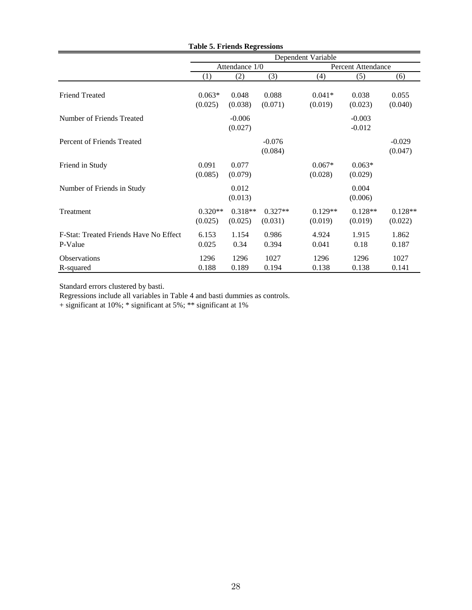|                                                   |                      |                      |                      | Dependent Variable   |                      |                      |
|---------------------------------------------------|----------------------|----------------------|----------------------|----------------------|----------------------|----------------------|
|                                                   |                      | Attendance 1/0       |                      |                      | Percent Attendance   |                      |
|                                                   | (1)                  | (2)                  | (3)                  | (4)                  | (5)                  | (6)                  |
| <b>Friend Treated</b>                             | $0.063*$<br>(0.025)  | 0.048<br>(0.038)     | 0.088<br>(0.071)     | $0.041*$<br>(0.019)  | 0.038<br>(0.023)     | 0.055<br>(0.040)     |
| Number of Friends Treated                         |                      | $-0.006$<br>(0.027)  |                      |                      | $-0.003$<br>$-0.012$ |                      |
| Percent of Friends Treated                        |                      |                      | $-0.076$<br>(0.084)  |                      |                      | $-0.029$<br>(0.047)  |
| Friend in Study                                   | 0.091<br>(0.085)     | 0.077<br>(0.079)     |                      | $0.067*$<br>(0.028)  | $0.063*$<br>(0.029)  |                      |
| Number of Friends in Study                        |                      | 0.012<br>(0.013)     |                      |                      | 0.004<br>(0.006)     |                      |
| <b>Treatment</b>                                  | $0.320**$<br>(0.025) | $0.318**$<br>(0.025) | $0.327**$<br>(0.031) | $0.129**$<br>(0.019) | $0.128**$<br>(0.019) | $0.128**$<br>(0.022) |
| F-Stat: Treated Friends Have No Effect<br>P-Value | 6.153<br>0.025       | 1.154<br>0.34        | 0.986<br>0.394       | 4.924<br>0.041       | 1.915<br>0.18        | 1.862<br>0.187       |
| <b>Observations</b><br>R-squared                  | 1296<br>0.188        | 1296<br>0.189        | 1027<br>0.194        | 1296<br>0.138        | 1296<br>0.138        | 1027<br>0.141        |

## **Table 5. Friends Regressions**

Standard errors clustered by basti.

Regressions include all variables in Table 4 and basti dummies as controls.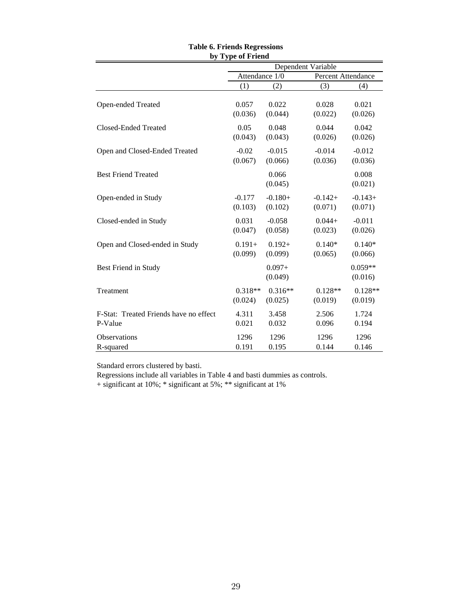| by Type of Friend                      |                |                      |                    |                      |  |  |  |
|----------------------------------------|----------------|----------------------|--------------------|----------------------|--|--|--|
|                                        |                |                      | Dependent Variable |                      |  |  |  |
|                                        | Attendance 1/0 |                      | Percent Attendance |                      |  |  |  |
|                                        | (1)            | (2)                  | (3)                | (4)                  |  |  |  |
| Open-ended Treated                     | 0.057          | 0.022                | 0.028              | 0.021                |  |  |  |
|                                        | (0.036)        | (0.044)              | (0.022)            | (0.026)              |  |  |  |
| Closed-Ended Treated                   | 0.05           | 0.048                | 0.044              | 0.042                |  |  |  |
|                                        | (0.043)        | (0.043)              | (0.026)            | (0.026)              |  |  |  |
| Open and Closed-Ended Treated          | $-0.02$        | $-0.015$             | $-0.014$           | $-0.012$             |  |  |  |
|                                        | (0.067)        | (0.066)              | (0.036)            | (0.036)              |  |  |  |
| <b>Best Friend Treated</b>             |                | 0.066<br>(0.045)     |                    | 0.008<br>(0.021)     |  |  |  |
| Open-ended in Study                    | $-0.177$       | $-0.180+$            | $-0.142+$          | $-0.143+$            |  |  |  |
|                                        | (0.103)        | (0.102)              | (0.071)            | (0.071)              |  |  |  |
| Closed-ended in Study                  | 0.031          | $-0.058$             | $0.044+$           | $-0.011$             |  |  |  |
|                                        | (0.047)        | (0.058)              | (0.023)            | (0.026)              |  |  |  |
| Open and Closed-ended in Study         | $0.191 +$      | $0.192+$             | $0.140*$           | $0.140*$             |  |  |  |
|                                        | (0.099)        | (0.099)              | (0.065)            | (0.066)              |  |  |  |
| Best Friend in Study                   |                | $0.097 +$<br>(0.049) |                    | $0.059**$<br>(0.016) |  |  |  |
| Treatment                              | $0.318**$      | $0.316**$            | $0.128**$          | $0.128**$            |  |  |  |
|                                        | (0.024)        | (0.025)              | (0.019)            | (0.019)              |  |  |  |
| F-Stat: Treated Friends have no effect | 4.311          | 3.458                | 2.506              | 1.724                |  |  |  |
| P-Value                                | 0.021          | 0.032                | 0.096              | 0.194                |  |  |  |
| <b>Observations</b>                    | 1296           | 1296                 | 1296               | 1296                 |  |  |  |
| R-squared                              | 0.191          | 0.195                | 0.144              | 0.146                |  |  |  |

# **Table 6. Friends Regressions**

Standard errors clustered by basti.

Regressions include all variables in Table 4 and basti dummies as controls.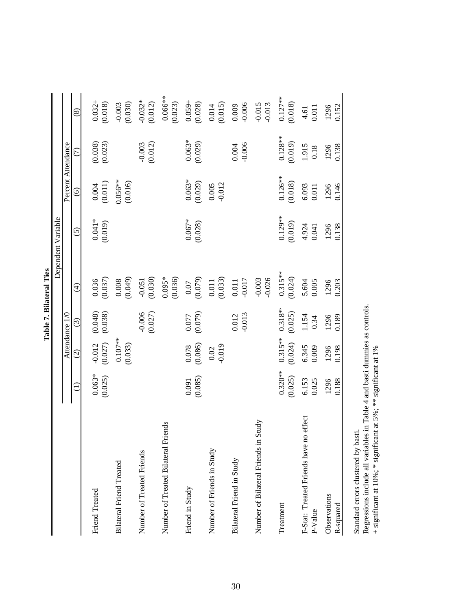|                                                      |                      |                         |                        |                                                 | Dependent Variable   |                       |                        |                        |
|------------------------------------------------------|----------------------|-------------------------|------------------------|-------------------------------------------------|----------------------|-----------------------|------------------------|------------------------|
|                                                      |                      |                         | Attendance 1/0         |                                                 |                      | Percent Attendance    |                        |                        |
|                                                      | Ê                    | $\widehat{c}$           | $\odot$                | $\widehat{\mathcal{A}}$                         | $\widehat{\circ}$    | $\widehat{\circ}$     | E                      | $\circledast$          |
| Friend Treated                                       | $0.063*$<br>(0.025)  | (0.027)<br>$-0.012$     | $(0.048)$<br>$(0.038)$ | $\frac{0.036}{(0.037)}$                         | $0.041*$<br>(0.019)  | $(0.004$<br>(0.011)   | $(0.038)$<br>$(0.023)$ | $0.032 +$<br>(0.018)   |
| <b>Bilateral Friend Treated</b>                      |                      | $0.107***$<br>(0.033)   |                        | (0.008)                                         |                      | $0.056***$<br>(0.016) |                        | (0.030)<br>$-0.003$    |
| Number of Treated Friends                            |                      |                         | $-0.006$<br>(0.027)    | (0.030)<br>$-0.051$                             |                      |                       | $-0.003$<br>$(0.012)$  | $-0.032*$<br>(0.012)   |
| Number of Treated Bilateral Friends                  |                      |                         |                        | $0.095*$<br>(0.036)                             |                      |                       |                        | $0.066***$<br>(0.023)  |
| Friend in Study                                      | (0.085)<br>0.091     | $\frac{0.078}{(0.086)}$ | (6.077)                | (0.07)                                          | $0.067*$<br>(0.028)  | $0.063*$<br>(0.029)   | $0.063*$<br>(0.029)    | $0.059 +$<br>$(0.028)$ |
| Number of Friends in Study                           |                      | $\frac{0.02}{0.019}$    |                        | $\begin{array}{c} 0.011 \\ (0.033) \end{array}$ |                      | $0.005$<br>$-0.012$   |                        | $0.014$<br>$(0.015)$   |
| Bilateral Friend in Study                            |                      |                         | $-0.013$<br>0.012      | $0.011$<br>$-0.017$                             |                      |                       | $-0.006$<br>0.004      | $0.009$<br>$-0.006$    |
| itudy<br>Number of Bilateral Friends in S            |                      |                         |                        | $-0.026$<br>$-0.003$                            |                      |                       |                        | $-0.015$<br>$-0.013$   |
| Treatment                                            | $0.320**$<br>(0.025) | $0.315**$<br>(0.024)    | $0.318**$<br>(0.025)   | $0.315***$<br>(0.024)                           | $0.129**$<br>(0.019) | $0.126***$<br>(0.018) | $0.128**$<br>(0.019)   | $0.127***$<br>(0.018)  |
| effect<br>F-Stat: Treated Friends have no<br>P-Value | 6.153<br>0.025       | 6.345<br>0.009          | 1.154<br>0.34          | 5.604<br>0.005                                  | 4.924<br>0.041       | 6.093<br>0.011        | 1.915<br>$0.18\,$      | 0.011<br>4.61          |
| Observations<br>R-squared                            | 0.188<br>1296        | 1296<br>0.198           | 1296<br>0.189          | 0.203<br>1296                                   | 0.138<br>1296        | 0.146<br>1296         | 1296<br>0.138          | 1296<br>0.152          |

Table 7. Bilateral Ties **Table 7. Bilateral Ties**

Standard errors clustered by basti.

Standard errors clustered by basti.<br>Regressions include all variables in Table 4 and basti dummies as controls.<br>+ significant at 10%; \* significant at 5%; \*\* significant at 1% Regressions include all variables in Table 4 and basti dummies as controls.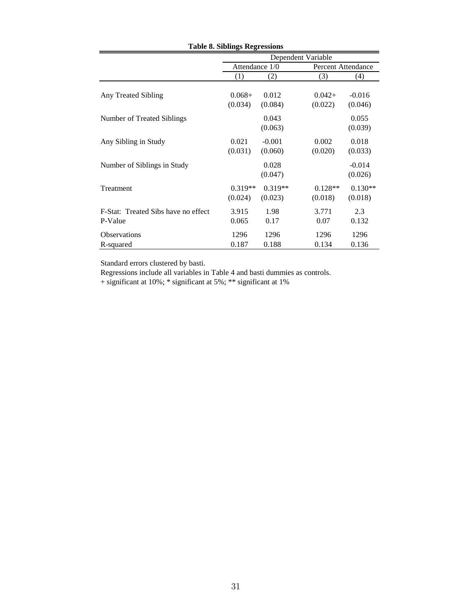|                                     | <del>ə</del> - --- <del>ə</del> |           | Dependent Variable |                           |  |  |
|-------------------------------------|---------------------------------|-----------|--------------------|---------------------------|--|--|
|                                     | Attendance 1/0                  |           |                    | <b>Percent Attendance</b> |  |  |
|                                     | (1)                             | (2)       | (3)                | (4)                       |  |  |
|                                     |                                 |           |                    |                           |  |  |
| Any Treated Sibling                 | $0.068+$                        | 0.012     | $0.042 +$          | $-0.016$                  |  |  |
|                                     | (0.034)                         | (0.084)   | (0.022)            | (0.046)                   |  |  |
| Number of Treated Siblings          |                                 | 0.043     |                    | 0.055                     |  |  |
|                                     |                                 | (0.063)   |                    | (0.039)                   |  |  |
| Any Sibling in Study                | 0.021                           | $-0.001$  | 0.002              | 0.018                     |  |  |
|                                     | (0.031)                         | (0.060)   | (0.020)            | (0.033)                   |  |  |
| Number of Siblings in Study         |                                 | 0.028     |                    | $-0.014$                  |  |  |
|                                     |                                 | (0.047)   |                    | (0.026)                   |  |  |
| Treatment                           | $0.319**$                       | $0.319**$ | $0.128**$          | $0.130**$                 |  |  |
|                                     | (0.024)                         | (0.023)   | (0.018)            | (0.018)                   |  |  |
| F-Stat: Treated Sibs have no effect | 3.915                           | 1.98      | 3.771              | 2.3                       |  |  |
| P-Value                             | 0.065                           | 0.17      | 0.07               | 0.132                     |  |  |
| <b>Observations</b>                 | 1296                            | 1296      | 1296               | 1296                      |  |  |
| R-squared                           | 0.187                           | 0.188     | 0.134              | 0.136                     |  |  |

**Table 8. Siblings Regressions**

Standard errors clustered by basti.

Regressions include all variables in Table 4 and basti dummies as controls.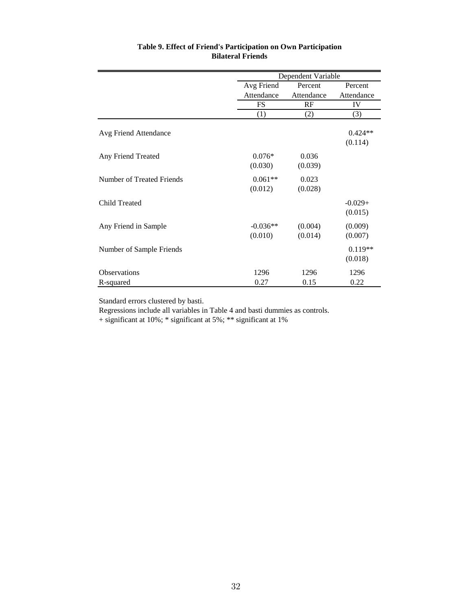|                           |                       | Dependent Variable |                      |
|---------------------------|-----------------------|--------------------|----------------------|
|                           | Avg Friend            | Percent            | Percent              |
|                           | Attendance            | Attendance         | Attendance           |
|                           | <b>FS</b>             | RF                 | IV                   |
|                           | (1)                   | (2)                | (3)                  |
| Avg Friend Attendance     |                       |                    | $0.424**$<br>(0.114) |
| Any Friend Treated        | $0.076*$<br>(0.030)   | 0.036<br>(0.039)   |                      |
| Number of Treated Friends | $0.061**$<br>(0.012)  | 0.023<br>(0.028)   |                      |
| <b>Child Treated</b>      |                       |                    | $-0.029+$<br>(0.015) |
| Any Friend in Sample      | $-0.036**$<br>(0.010) | (0.004)<br>(0.014) | (0.009)<br>(0.007)   |
| Number of Sample Friends  |                       |                    | $0.119**$<br>(0.018) |
| <b>Observations</b>       | 1296                  | 1296               | 1296                 |
| R-squared                 | 0.27                  | 0.15               | 0.22                 |

## **Table 9. Effect of Friend's Participation on Own Participation Bilateral Friends**

Standard errors clustered by basti.

Regressions include all variables in Table 4 and basti dummies as controls.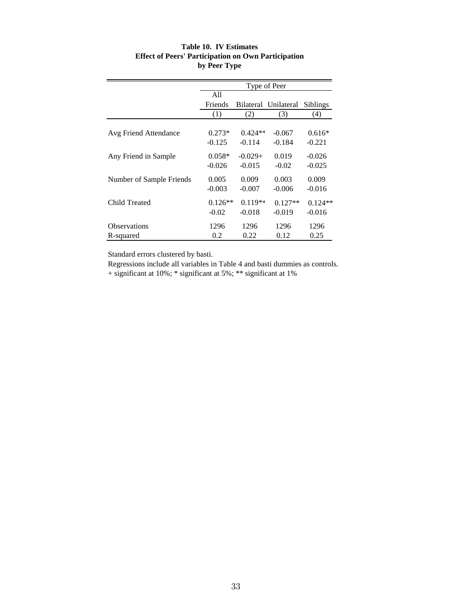| Table 10. IV Estimates                                     |
|------------------------------------------------------------|
| <b>Effect of Peers' Participation on Own Participation</b> |
| by Peer Type                                               |

|                          |                      |                       | Type of Peer          |                       |
|--------------------------|----------------------|-----------------------|-----------------------|-----------------------|
|                          | All                  |                       |                       |                       |
|                          | <b>Friends</b>       |                       | Bilateral Unilateral  | <b>Siblings</b>       |
|                          | (1)                  | (2)                   | (3)                   | (4)                   |
| Avg Friend Attendance    | $0.273*$             | $0.424**$             | $-0.067$              | $0.616*$              |
|                          | $-0.125$             | $-0.114$              | $-0.184$              | $-0.221$              |
| Any Friend in Sample     | $0.058*$<br>$-0.026$ | $-0.029+$<br>$-0.015$ | 0.019<br>$-0.02$      | $-0.026$<br>$-0.025$  |
| Number of Sample Friends | 0.005<br>$-0.003$    | 0.009<br>$-0.007$     | 0.003<br>$-0.006$     | 0.009<br>$-0.016$     |
| Child Treated            | $0.126**$<br>$-0.02$ | $0.119**$<br>$-0.018$ | $0.127**$<br>$-0.019$ | $0.124**$<br>$-0.016$ |
| <b>Observations</b>      | 1296                 | 1296                  | 1296                  | 1296                  |
| R-squared                | 0.2                  | 0.22                  | 0.12                  | 0.25                  |

Standard errors clustered by basti.

Regressions include all variables in Table 4 and basti dummies as controls.